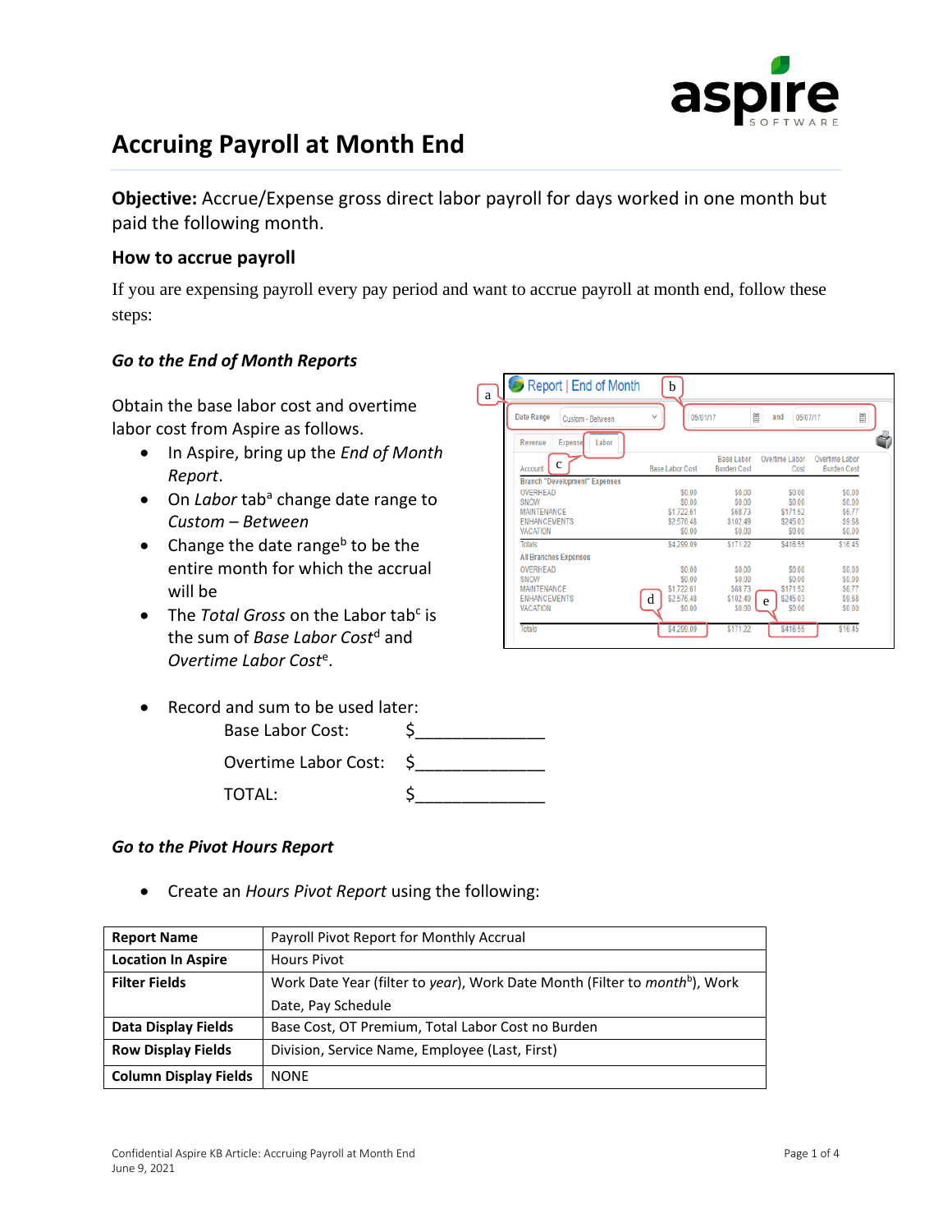

## **Accruing Payroll at Month End**

**Objective:** Accrue/Expense gross direct labor payroll for days worked in one month but paid the following month.

## **How to accrue payroll**

If you are expensing payroll every pay period and want to accrue payroll at month end, follow these steps:

## *Go to the End of Month Reports*

Obtain the base labor cost and overtime labor cost from Aspire as follows.

- In Aspire, bring up the *End of Month Report*.
- On *Labor* tab<sup>a</sup> change date range to *Custom – Between*
- Change the date range<sup>b</sup> to be the entire month for which the accrual will be
- The *Total Gross* on the Labor tab<sup>c</sup> is the sum of *Base Labor Cost*<sup>d</sup> and *Overtime Labor Cost*<sup>e</sup> .
- Record and sum to be used later:

| Base Labor Cost:     |  |
|----------------------|--|
| Overtime Labor Cost: |  |
| TOTAL:               |  |

## *Go to the Pivot Hours Report*

• Create an *Hours Pivot Report* using the following:

| <b>Report Name</b>           | Payroll Pivot Report for Monthly Accrual                                               |
|------------------------------|----------------------------------------------------------------------------------------|
| <b>Location In Aspire</b>    | Hours Pivot                                                                            |
| <b>Filter Fields</b>         | Work Date Year (filter to year), Work Date Month (Filter to month <sup>b</sup> ), Work |
|                              | Date, Pay Schedule                                                                     |
| Data Display Fields          | Base Cost, OT Premium, Total Labor Cost no Burden                                      |
| <b>Row Display Fields</b>    | Division, Service Name, Employee (Last, First)                                         |
| <b>Column Display Fields</b> | <b>NONF</b>                                                                            |

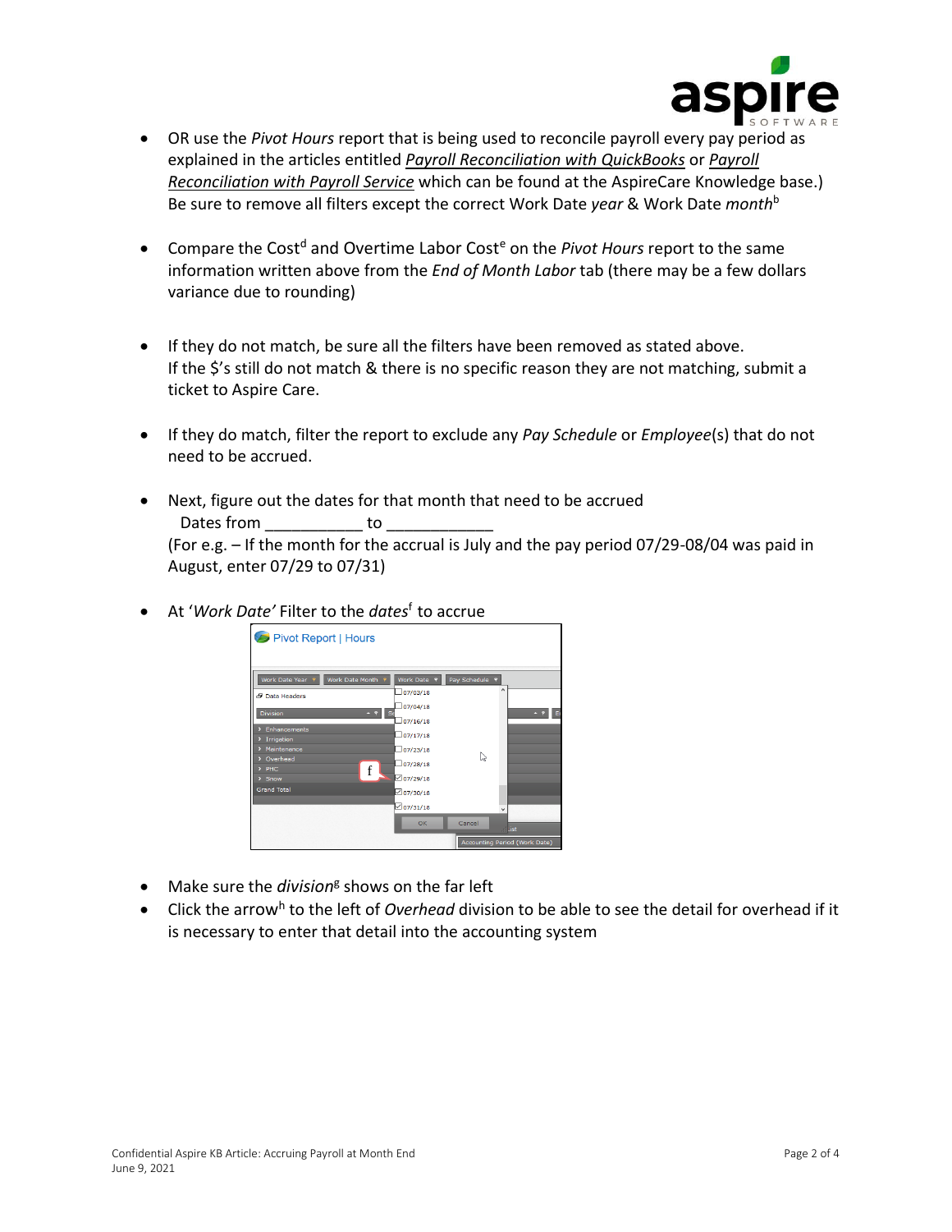

- OR use the *Pivot Hours* report that is being used to reconcile payroll every pay period as explained in the articles entitled *[Payroll Reconciliation with QuickBooks](https://cdn2.hubspot.net/hubfs/3381425/Payroll%20Reconciliation%20with%20QuickBooks%20V1.pdf)* or *[Payroll](https://cdn2.hubspot.net/hubfs/3381425/Payroll%20Reconciliation%20with%20Payroll%20Services%20V2.pdf)  [Reconciliation with Payroll Service](https://cdn2.hubspot.net/hubfs/3381425/Payroll%20Reconciliation%20with%20Payroll%20Services%20V2.pdf)* which can be found at the AspireCare Knowledge base.) Be sure to remove all filters except the correct Work Date *year* & Work Date *month*<sup>b</sup>
- Compare the Cost<sup>d</sup> and Overtime Labor Cost<sup>e</sup> on the *Pivot Hours* report to the same information written above from the *End of Month Labor* tab (there may be a few dollars variance due to rounding)
- If they do not match, be sure all the filters have been removed as stated above. If the \$'s still do not match & there is no specific reason they are not matching, submit a ticket to Aspire Care.
- If they do match, filter the report to exclude any *Pay Schedule* or *Employee*(s) that do not need to be accrued.
- Next, figure out the dates for that month that need to be accrued Dates from to both (For e.g. – If the month for the accrual is July and the pay period 07/29-08/04 was paid in August, enter 07/29 to 07/31)
- At '*Work Date'* Filter to the *dates*<sup>f</sup> to accrue



- Make sure the *division<sup>g</sup>* shows on the far left
- Click the arrow<sup>h</sup> to the left of *Overhead* division to be able to see the detail for overhead if it is necessary to enter that detail into the accounting system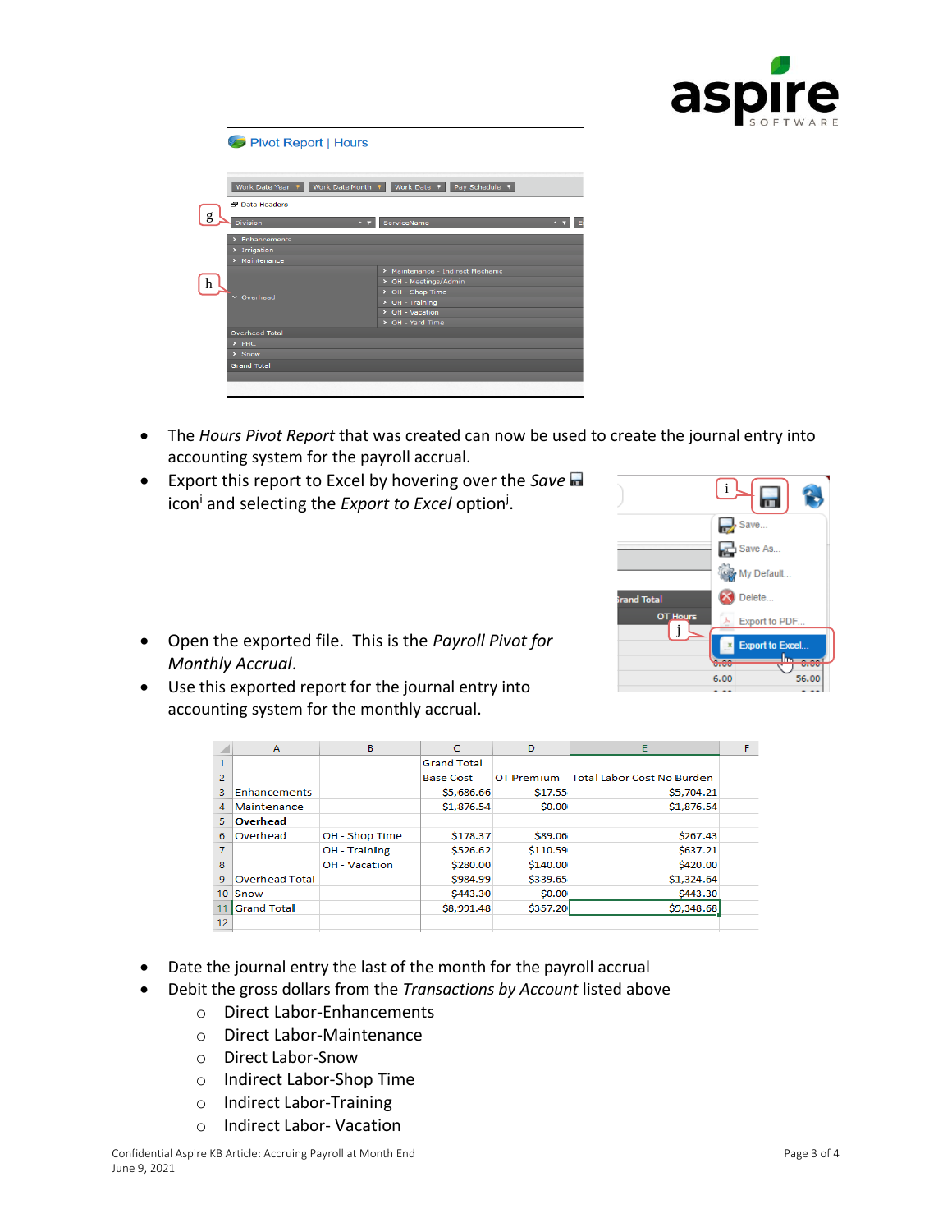

| Pivot Report   Hours                        |                                      |  |  |  |  |  |  |
|---------------------------------------------|--------------------------------------|--|--|--|--|--|--|
|                                             |                                      |  |  |  |  |  |  |
|                                             |                                      |  |  |  |  |  |  |
|                                             |                                      |  |  |  |  |  |  |
| Work Date Year 9<br>Work Date Month ?       | Work Date $\theta$<br>Pay Schedule 9 |  |  |  |  |  |  |
|                                             |                                      |  |  |  |  |  |  |
| <b>P Data Headers</b>                       |                                      |  |  |  |  |  |  |
| $\mathbf{g}$<br><b>Division</b><br>$\sim$ 9 | ServiceName                          |  |  |  |  |  |  |
|                                             |                                      |  |  |  |  |  |  |
| > Enhancements                              |                                      |  |  |  |  |  |  |
| > Irrigation                                |                                      |  |  |  |  |  |  |
| > Maintenance                               |                                      |  |  |  |  |  |  |
|                                             | > Maintenance - Indirect Mechanic    |  |  |  |  |  |  |
| h                                           | > OH - Meetings/Admin                |  |  |  |  |  |  |
| v Overhead                                  | > OH - Shop Time                     |  |  |  |  |  |  |
|                                             | $\triangleright$ OH - Training       |  |  |  |  |  |  |
|                                             | > OH - Vacation                      |  |  |  |  |  |  |
|                                             | > OH - Yard Time                     |  |  |  |  |  |  |
| <b>Overhead Total</b>                       |                                      |  |  |  |  |  |  |
| $>$ PHC                                     |                                      |  |  |  |  |  |  |
| $>$ Snow                                    |                                      |  |  |  |  |  |  |
| <b>Grand Total</b>                          |                                      |  |  |  |  |  |  |
|                                             |                                      |  |  |  |  |  |  |
|                                             |                                      |  |  |  |  |  |  |

- The *Hours Pivot Report* that was created can now be used to create the journal entry into accounting system for the payroll accrual.
- Export this report to Excel by hovering over the *Save* icon<sup>i</sup> and selecting the *Export to Excel* option<sup>j</sup>.



- Open the exported file. This is the *Payroll Pivot for Monthly Accrual*.
- Use this exported report for the journal entry into accounting system for the monthly accrual.

| ◢              | A                     | B                    | C                  | D                 | Е                                 |  |
|----------------|-----------------------|----------------------|--------------------|-------------------|-----------------------------------|--|
|                |                       |                      | <b>Grand Total</b> |                   |                                   |  |
| 2              |                       |                      | <b>Base Cost</b>   | <b>OT Premium</b> | <b>Total Labor Cost No Burden</b> |  |
| 3              | Enhancements          |                      | \$5,686.66         | \$17.55           | \$5,704.21                        |  |
| $\overline{4}$ | Maintenance           |                      | \$1,876.54         | \$0.00            | \$1,876.54                        |  |
| 5              | Overhead              |                      |                    |                   |                                   |  |
| 6              | Overhead              | OH - Shop Time       | \$178.37           | \$89.06           | \$267.43                          |  |
|                |                       | <b>OH</b> - Training | \$526.62           | \$110.59          | \$637.21                          |  |
| 8              |                       | OH - Vacation        | \$280.00           | \$140.00          | \$420.00                          |  |
| 9              | <b>Overhead Total</b> |                      | \$984.99           | \$339.65          | \$1,324.64                        |  |
| 10             | Snow                  |                      | \$443.30           | \$0.00            | \$443.30                          |  |
|                | <b>Grand Total</b>    |                      | \$8,991.48         | \$357.20          | \$9,348.68                        |  |
| 12             |                       |                      |                    |                   |                                   |  |

- Date the journal entry the last of the month for the payroll accrual
- Debit the gross dollars from the *Transactions by Account* listed above
	- o Direct Labor-Enhancements
	- o Direct Labor-Maintenance
	- o Direct Labor-Snow
	- o Indirect Labor-Shop Time
	- o Indirect Labor-Training
	- o Indirect Labor- Vacation